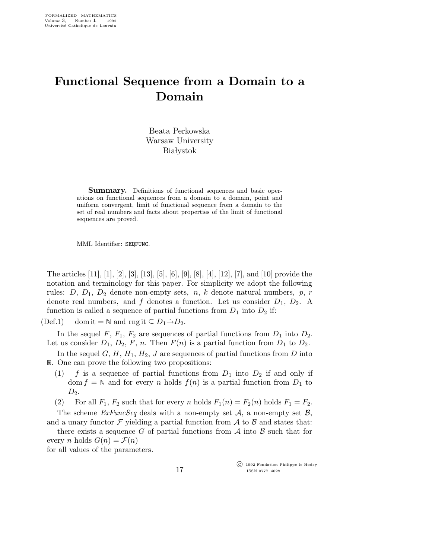## Functional Sequence from a Domain to a Domain

Beata Perkowska Warsaw University **Białystok** 

Summary. Definitions of functional sequences and basic operations on functional sequences from a domain to a domain, point and uniform convergent, limit of functional sequence from a domain to the set of real numbers and facts about properties of the limit of functional sequences are proved.

MML Identifier: SEQFUNC.

The articles [11], [1], [2], [3], [13], [5], [6], [9], [8], [4], [12], [7], and [10] provide the notation and terminology for this paper. For simplicity we adopt the following rules: D,  $D_1$ ,  $D_2$  denote non-empty sets, n, k denote natural numbers, p, r denote real numbers, and f denotes a function. Let us consider  $D_1$ ,  $D_2$ . A function is called a sequence of partial functions from  $D_1$  into  $D_2$  if:

(Def.1) dom it =  $\mathbb N$  and rng it  $\subseteq D_1 \rightarrow D_2$ .

In the sequel F,  $F_1$ ,  $F_2$  are sequences of partial functions from  $D_1$  into  $D_2$ . Let us consider  $D_1$ ,  $D_2$ , F, n. Then  $F(n)$  is a partial function from  $D_1$  to  $D_2$ .

In the sequel  $G, H, H_1, H_2, J$  are sequences of partial functions from  $D$  into R. One can prove the following two propositions:

- (1) f is a sequence of partial functions from  $D_1$  into  $D_2$  if and only if dom  $f = \mathbb{N}$  and for every n holds  $f(n)$  is a partial function from  $D_1$  to  $D_2$ .
- (2) For all  $F_1$ ,  $F_2$  such that for every n holds  $F_1(n) = F_2(n)$  holds  $F_1 = F_2$ .

The scheme  $ExFuncSeq$  deals with a non-empty set A, a non-empty set B, and a unary functor  $\mathcal F$  yielding a partial function from  $\mathcal A$  to  $\mathcal B$  and states that:

there exists a sequence G of partial functions from  $A$  into  $B$  such that for every *n* holds  $G(n) = \mathcal{F}(n)$ for all values of the parameters.

> c 1992 Fondation Philippe le Hodey ISSN 0777–4028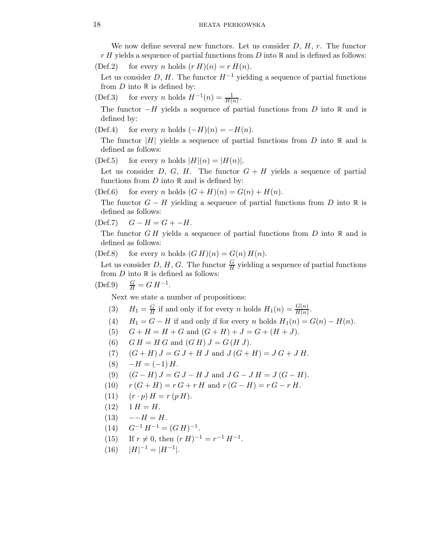We now define several new functors. Let us consider  $D, H, r$ . The functor  $r H$  yields a sequence of partial functions from D into  $\mathbb R$  and is defined as follows:

$$
(Def.2) \quad \text{ for every } n \text{ holds } (r H)(n) = r H(n).
$$

Let us consider D, H. The functor  $H^{-1}$  yielding a sequence of partial functions from  $D$  into  $\mathbb R$  is defined by:

(Def.3) for every *n* holds  $H^{-1}(n) = \frac{1}{H(n)}$ .

The functor  $-H$  yields a sequence of partial functions from D into  $\mathbb R$  and is defined by:

(Def.4) for every n holds  $(-H)(n) = -H(n)$ .

The functor |H| yields a sequence of partial functions from D into  $\mathbb R$  and is defined as follows:

(Def.5) for every n holds  $|H|(n) = |H(n)|$ .

Let us consider D, G, H. The functor  $G + H$  yields a sequence of partial functions from  $D$  into  $\mathbb R$  and is defined by:

(Def.6) for every n holds  $(G + H)(n) = G(n) + H(n)$ .

The functor  $G - H$  yielding a sequence of partial functions from D into R is defined as follows:

$$
(Def.7) \quad G - H = G + -H.
$$

The functor  $GH$  yields a sequence of partial functions from  $D$  into  $\mathbb R$  and is defined as follows:

(Def.8) for every n holds  $(G H)(n) = G(n) H(n)$ .

Let us consider D, H, G. The functor  $\frac{G}{H}$  yielding a sequence of partial functions from  $D$  into  $\mathbb R$  is defined as follows:

 $(Def.9)$  $\frac{G}{H} = G H^{-1}.$ 

Next we state a number of propositions:

- (3)  $H_1 = \frac{G}{H}$  $\frac{G}{H}$  if and only if for every *n* holds  $H_1(n) = \frac{G(n)}{H(n)}$ .
- (4)  $H_1 = G H$  if and only if for every n holds  $H_1(n) = G(n) H(n)$ .
- (5)  $G + H = H + G$  and  $(G + H) + J = G + (H + J)$ .
- (6)  $GH = H G$  and  $(G H) J = G (H J)$ .
- (7)  $(G + H) J = G J + H J$  and  $J (G + H) = J G + J H$ .
- $(8) -H = (-1) H$ .
- (9)  $(G H) J = G J H J$  and  $J G J H = J (G H)$ .
- (10)  $r(G + H) = r G + r H$  and  $r(G H) = r G r H$ .
- (11)  $(r \cdot p) H = r (p H).$
- $(12)$  1  $H = H$ .
- $(13) \quad --H = H.$
- $(14)$   $G^{-1}H^{-1} = (GH)^{-1}.$
- (15) If  $r \neq 0$ , then  $(r H)^{-1} = r^{-1} H^{-1}$ .
- $(16)$   $|H|^{-1} = |H^{-1}|.$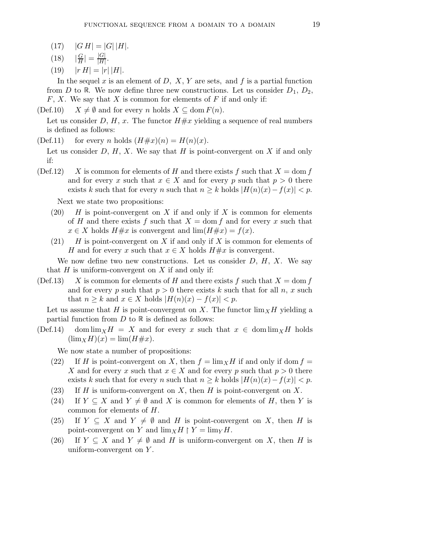- $(17)$   $|GH| = |G||H|.$
- $(18)$ G  $\frac{G}{H}|=\frac{|G|}{|H|}$  $\frac{|G|}{|H|}$ .
- (19)  $|r H| = |r| |H|.$

In the sequel x is an element of  $D, X, Y$  are sets, and f is a partial function from D to R. We now define three new constructions. Let us consider  $D_1, D_2,$  $F, X$ . We say that X is common for elements of F if and only if:

(Def.10)  $X \neq \emptyset$  and for every n holds  $X \subseteq \text{dom } F(n)$ .

Let us consider D, H, x. The functor  $H \# x$  yielding a sequence of real numbers is defined as follows:

(Def.11) for every *n* holds  $(H \# x)(n) = H(n)(x)$ .

Let us consider  $D, H, X$ . We say that H is point-convergent on X if and only if:

(Def.12) X is common for elements of H and there exists f such that  $X = \text{dom } f$ and for every x such that  $x \in X$  and for every p such that  $p > 0$  there exists k such that for every n such that  $n \geq k$  holds  $|H(n)(x) - f(x)| < p$ .

Next we state two propositions:

- (20)  $H$  is point-convergent on X if and only if X is common for elements of H and there exists f such that  $X = \text{dom } f$  and for every x such that  $x \in X$  holds  $H \# x$  is convergent and  $\lim(H \# x) = f(x)$ .
- (21)  $H$  is point-convergent on X if and only if X is common for elements of H and for every x such that  $x \in X$  holds  $H \# x$  is convergent.

We now define two new constructions. Let us consider  $D, H, X$ . We say that  $H$  is uniform-convergent on  $X$  if and only if:

(Def.13) X is common for elements of H and there exists f such that  $X = \text{dom } f$ and for every p such that  $p > 0$  there exists k such that for all n, x such that  $n \geq k$  and  $x \in X$  holds  $|H(n)(x) - f(x)| < p$ .

Let us assume that H is point-convergent on X. The functor  $\lim_{X} H$  yielding a partial function from  $D$  to  $\mathbb R$  is defined as follows:

(Def.14) dom  $\lim_{X} H = X$  and for every x such that  $x \in \text{dom}\lim_{X} H$  holds  $(\lim_X H)(x) = \lim(H \# x).$ 

We now state a number of propositions:

- (22) If H is point-convergent on X, then  $f = \lim_{x \to 0} H$  if and only if dom  $f =$ X and for every x such that  $x \in X$  and for every p such that  $p > 0$  there exists k such that for every n such that  $n \geq k$  holds  $|H(n)(x) - f(x)| < p$ .
- (23) If H is uniform-convergent on X, then H is point-convergent on X.
- (24) If  $Y \subseteq X$  and  $Y \neq \emptyset$  and X is common for elements of H, then Y is common for elements of H.
- (25) If  $Y \subseteq X$  and  $Y \neq \emptyset$  and H is point-convergent on X, then H is point-convergent on Y and  $\lim_X H \upharpoonright Y = \lim_Y H$ .
- (26) If  $Y \subseteq X$  and  $Y \neq \emptyset$  and H is uniform-convergent on X, then H is uniform-convergent on  $Y$ .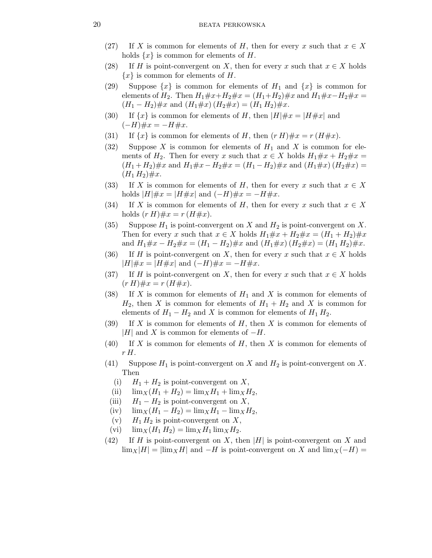- (27) If X is common for elements of H, then for every x such that  $x \in X$ holds  $\{x\}$  is common for elements of H.
- (28) If H is point-convergent on X, then for every x such that  $x \in X$  holds  ${x}$  is common for elements of H.
- (29) Suppose  $\{x\}$  is common for elements of  $H_1$  and  $\{x\}$  is common for elements of  $H_2$ . Then  $H_1 \# x + H_2 \# x = (H_1 + H_2) \# x$  and  $H_1 \# x - H_2 \# x =$  $(H_1 - H_2) \# x$  and  $(H_1 \# x) (H_2 \# x) = (H_1 H_2) \# x$ .
- (30) If  $\{x\}$  is common for elements of H, then  $|H| \# x = |H \# x|$  and  $(-H)$ # $x = -H$ # $x$ .
- (31) If  $\{x\}$  is common for elements of H, then  $(r H) \# x = r (H \# x)$ .
- (32) Suppose X is common for elements of  $H_1$  and X is common for elements of  $H_2$ . Then for every x such that  $x \in X$  holds  $H_1 \# x + H_2 \# x =$  $(H_1 + H_2) \# x$  and  $H_1 \# x - H_2 \# x = (H_1 - H_2) \# x$  and  $(H_1 \# x) (H_2 \# x) =$  $(H_1 H_2) \# x.$
- (33) If X is common for elements of H, then for every x such that  $x \in X$ holds  $|H| \# x = |H \# x|$  and  $(-H) \# x = -H \# x$ .
- (34) If X is common for elements of H, then for every x such that  $x \in X$ holds  $(r H) \# x = r (H \# x)$ .
- (35) Suppose  $H_1$  is point-convergent on X and  $H_2$  is point-convergent on X. Then for every x such that  $x \in X$  holds  $H_1 \# x + H_2 \# x = (H_1 + H_2) \# x$ and  $H_1 \# x - H_2 \# x = (H_1 - H_2) \# x$  and  $(H_1 \# x) (H_2 \# x) = (H_1 H_2) \# x$ .
- (36) If H is point-convergent on X, then for every x such that  $x \in X$  holds  $|H| \# x = |H \# x|$  and  $(-H) \# x = -H \# x$ .
- (37) If H is point-convergent on X, then for every x such that  $x \in X$  holds  $(r H) \# x = r (H \# x).$
- (38) If X is common for elements of  $H_1$  and X is common for elements of  $H_2$ , then X is common for elements of  $H_1 + H_2$  and X is common for elements of  $H_1 - H_2$  and X is common for elements of  $H_1 H_2$ .
- $(39)$  If X is common for elements of H, then X is common for elements of |H| and X is common for elements of  $-H$ .
- $(40)$  If X is common for elements of H, then X is common for elements of r H.
- (41) Suppose  $H_1$  is point-convergent on X and  $H_2$  is point-convergent on X. Then
	- (i)  $H_1 + H_2$  is point-convergent on X,
	- (ii)  $\lim_{X} (H_1 + H_2) = \lim_{X} H_1 + \lim_{X} H_2$ ,
	- (iii)  $H_1 H_2$  is point-convergent on X,
	- (iv)  $\lim_{X} (H_1 H_2) = \lim_{X} H_1 \lim_{X} H_2$ ,
	- (v)  $H_1 H_2$  is point-convergent on X,
	- (vi)  $\lim_{X} (H_1 H_2) = \lim_{X} H_1 \lim_{X} H_2.$
- (42) If H is point-convergent on X, then |H| is point-convergent on X and  $\lim_{X} |H| = |\lim_{X} H|$  and  $-H$  is point-convergent on X and  $\lim_{X} (-H) =$